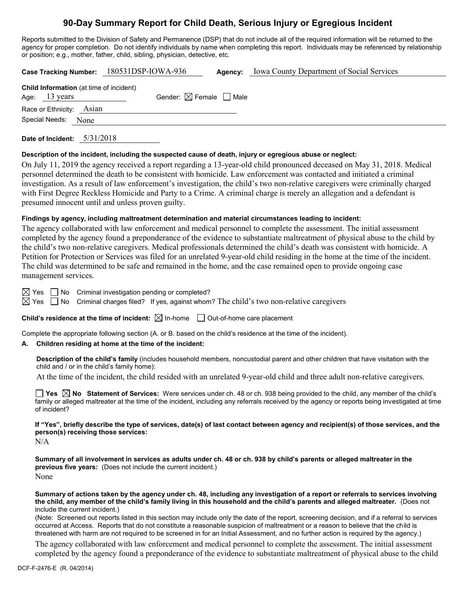# **90-Day Summary Report for Child Death, Serious Injury or Egregious Incident**

Reports submitted to the Division of Safety and Permanence (DSP) that do not include all of the required information will be returned to the agency for proper completion. Do not identify individuals by name when completing this report. Individuals may be referenced by relationship or position; e.g., mother, father, child, sibling, physician, detective, etc.

| Case Tracking Number: 180531DSP-IOWA-936                                  |      |                                        | Agency: | <b>Iowa County Department of Social Services</b> |
|---------------------------------------------------------------------------|------|----------------------------------------|---------|--------------------------------------------------|
| <b>Child Information</b> (at time of incident)<br>Age: $13 \text{ years}$ |      | Gender: $\boxtimes$ Female $\Box$ Male |         |                                                  |
| Race or Ethnicity: Asian                                                  |      |                                        |         |                                                  |
| Special Needs:                                                            | None |                                        |         |                                                  |
|                                                                           |      |                                        |         |                                                  |

**Date of Incident:** 5/31/2018

#### **Description of the incident, including the suspected cause of death, injury or egregious abuse or neglect:**

On July 11, 2019 the agency received a report regarding a 13-year-old child pronounced deceased on May 31, 2018. Medical personnel determined the death to be consistent with homicide. Law enforcement was contacted and initiated a criminal investigation. As a result of law enforcement's investigation, the child's two non-relative caregivers were criminally charged with First Degree Reckless Homicide and Party to a Crime. A criminal charge is merely an allegation and a defendant is presumed innocent until and unless proven guilty.

### **Findings by agency, including maltreatment determination and material circumstances leading to incident:**

The agency collaborated with law enforcement and medical personnel to complete the assessment. The initial assessment completed by the agency found a preponderance of the evidence to substantiate maltreatment of physical abuse to the child by the child's two non-relative caregivers. Medical professionals determined the child's death was consistent with homicide. A Petition for Protection or Services was filed for an unrelated 9-year-old child residing in the home at the time of the incident. The child was determined to be safe and remained in the home, and the case remained open to provide ongoing case management services.

 $\boxtimes$  Yes  $\Box$  No Criminal investigation pending or completed?

 $\boxtimes$  Yes  $\Box$  No Criminal charges filed? If yes, against whom? The child's two non-relative caregivers

**Child's residence at the time of incident:**  $\boxtimes$  In-home  $\Box$  Out-of-home care placement

Complete the appropriate following section (A. or B. based on the child's residence at the time of the incident).

## **A. Children residing at home at the time of the incident:**

**Description of the child's family** (includes household members, noncustodial parent and other children that have visitation with the child and / or in the child's family home):

At the time of the incident, the child resided with an unrelated 9-year-old child and three adult non-relative caregivers.

**Yes No Statement of Services:** Were services under ch. 48 or ch. 938 being provided to the child, any member of the child's family or alleged maltreater at the time of the incident, including any referrals received by the agency or reports being investigated at time of incident?

**If "Yes", briefly describe the type of services, date(s) of last contact between agency and recipient(s) of those services, and the person(s) receiving those services:**

N/A

**Summary of all involvement in services as adults under ch. 48 or ch. 938 by child's parents or alleged maltreater in the previous five years:** (Does not include the current incident.) None

**Summary of actions taken by the agency under ch. 48, including any investigation of a report or referrals to services involving the child, any member of the child's family living in this household and the child's parents and alleged maltreater.** (Does not include the current incident.)

(Note: Screened out reports listed in this section may include only the date of the report, screening decision, and if a referral to services occurred at Access. Reports that do not constitute a reasonable suspicion of maltreatment or a reason to believe that the child is threatened with harm are not required to be screened in for an Initial Assessment, and no further action is required by the agency.)

The agency collaborated with law enforcement and medical personnel to complete the assessment. The initial assessment completed by the agency found a preponderance of the evidence to substantiate maltreatment of physical abuse to the child